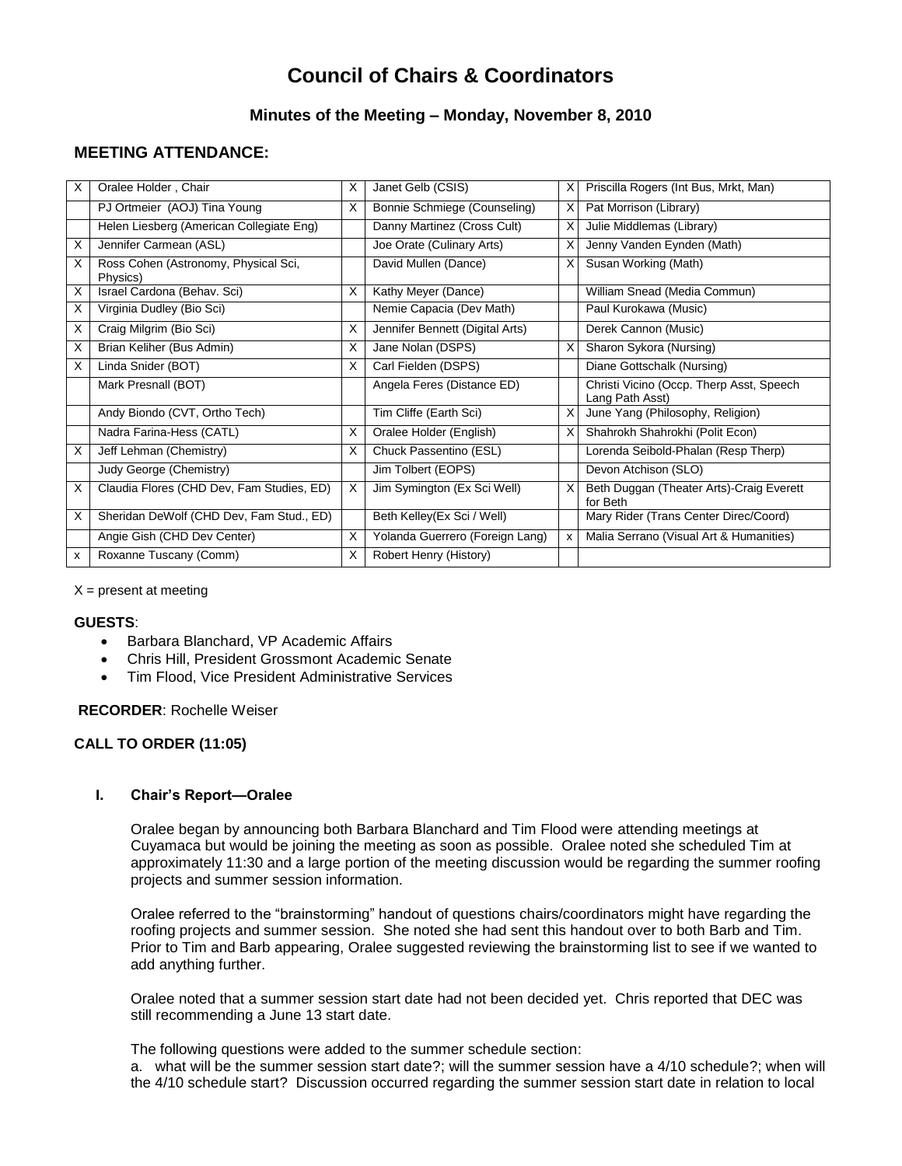# **Council of Chairs & Coordinators**

## **Minutes of the Meeting – Monday, November 8, 2010**

# **MEETING ATTENDANCE:**

| X  | Oralee Holder, Chair                             | X | Janet Gelb (CSIS)               | X | Priscilla Rogers (Int Bus, Mrkt, Man)                       |
|----|--------------------------------------------------|---|---------------------------------|---|-------------------------------------------------------------|
|    | PJ Ortmeier (AOJ) Tina Young                     | X | Bonnie Schmiege (Counseling)    | X | Pat Morrison (Library)                                      |
|    | Helen Liesberg (American Collegiate Eng)         |   | Danny Martinez (Cross Cult)     |   | Julie Middlemas (Library)                                   |
| X  | Jennifer Carmean (ASL)                           |   | Joe Orate (Culinary Arts)       | X | Jenny Vanden Eynden (Math)                                  |
| X  | Ross Cohen (Astronomy, Physical Sci,<br>Physics) |   | David Mullen (Dance)            | X | Susan Working (Math)                                        |
| X  | Israel Cardona (Behav. Sci)                      | X | Kathy Meyer (Dance)             |   | William Snead (Media Commun)                                |
| X. | Virginia Dudley (Bio Sci)                        |   | Nemie Capacia (Dev Math)        |   | Paul Kurokawa (Music)                                       |
| X  | Craig Milgrim (Bio Sci)                          | X | Jennifer Bennett (Digital Arts) |   | Derek Cannon (Music)                                        |
| X  | Brian Keliher (Bus Admin)                        | X | Jane Nolan (DSPS)               | X | Sharon Sykora (Nursing)                                     |
| X  | Linda Snider (BOT)                               | X | Carl Fielden (DSPS)             |   | Diane Gottschalk (Nursing)                                  |
|    | Mark Presnall (BOT)                              |   | Angela Feres (Distance ED)      |   | Christi Vicino (Occp. Therp Asst, Speech<br>Lang Path Asst) |
|    | Andy Biondo (CVT, Ortho Tech)                    |   | Tim Cliffe (Earth Sci)          | X | June Yang (Philosophy, Religion)                            |
|    | Nadra Farina-Hess (CATL)                         | X | Oralee Holder (English)         | X | Shahrokh Shahrokhi (Polit Econ)                             |
| х  | Jeff Lehman (Chemistry)                          | X | Chuck Passentino (ESL)          |   | Lorenda Seibold-Phalan (Resp Therp)                         |
|    | Judy George (Chemistry)                          |   | Jim Tolbert (EOPS)              |   | Devon Atchison (SLO)                                        |
| X  | Claudia Flores (CHD Dev, Fam Studies, ED)        | X | Jim Symington (Ex Sci Well)     | X | Beth Duggan (Theater Arts)-Craig Everett<br>for Beth        |
| X  | Sheridan DeWolf (CHD Dev, Fam Stud., ED)         |   | Beth Kelley(Ex Sci / Well)      |   | Mary Rider (Trans Center Direc/Coord)                       |
|    | Angie Gish (CHD Dev Center)                      | X | Yolanda Guerrero (Foreign Lang) | x | Malia Serrano (Visual Art & Humanities)                     |
| x  | Roxanne Tuscany (Comm)                           | X | Robert Henry (History)          |   |                                                             |

 $X =$  present at meeting

## **GUESTS**:

- Barbara Blanchard, VP Academic Affairs
- Chris Hill, President Grossmont Academic Senate
- Tim Flood, Vice President Administrative Services

## **RECORDER**: Rochelle Weiser

## **CALL TO ORDER (11:05)**

## **I. Chair's Report—Oralee**

Oralee began by announcing both Barbara Blanchard and Tim Flood were attending meetings at Cuyamaca but would be joining the meeting as soon as possible. Oralee noted she scheduled Tim at approximately 11:30 and a large portion of the meeting discussion would be regarding the summer roofing projects and summer session information.

Oralee referred to the "brainstorming" handout of questions chairs/coordinators might have regarding the roofing projects and summer session. She noted she had sent this handout over to both Barb and Tim. Prior to Tim and Barb appearing, Oralee suggested reviewing the brainstorming list to see if we wanted to add anything further.

Oralee noted that a summer session start date had not been decided yet. Chris reported that DEC was still recommending a June 13 start date.

The following questions were added to the summer schedule section:

a. what will be the summer session start date?; will the summer session have a 4/10 schedule?; when will the 4/10 schedule start? Discussion occurred regarding the summer session start date in relation to local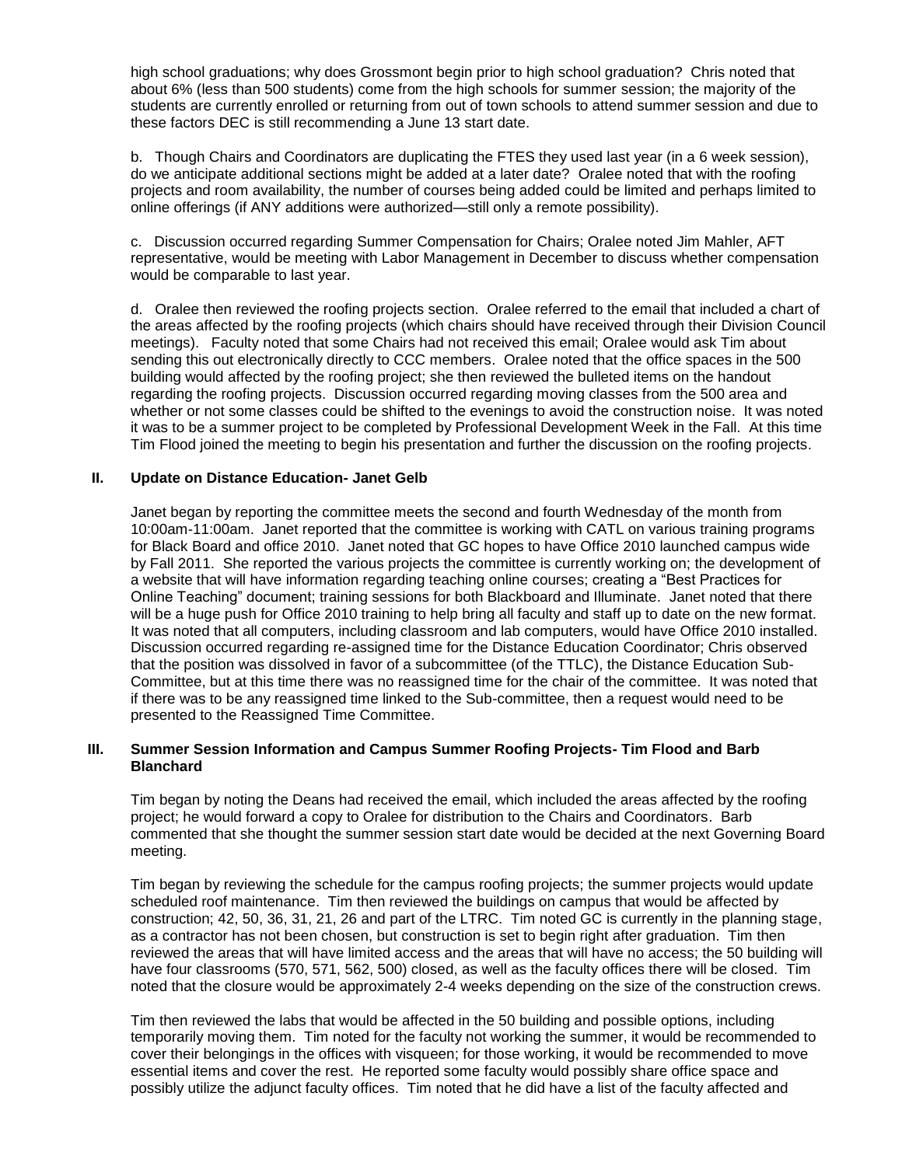high school graduations; why does Grossmont begin prior to high school graduation? Chris noted that about 6% (less than 500 students) come from the high schools for summer session; the majority of the students are currently enrolled or returning from out of town schools to attend summer session and due to these factors DEC is still recommending a June 13 start date.

b. Though Chairs and Coordinators are duplicating the FTES they used last year (in a 6 week session), do we anticipate additional sections might be added at a later date? Oralee noted that with the roofing projects and room availability, the number of courses being added could be limited and perhaps limited to online offerings (if ANY additions were authorized—still only a remote possibility).

c. Discussion occurred regarding Summer Compensation for Chairs; Oralee noted Jim Mahler, AFT representative, would be meeting with Labor Management in December to discuss whether compensation would be comparable to last year.

d. Oralee then reviewed the roofing projects section. Oralee referred to the email that included a chart of the areas affected by the roofing projects (which chairs should have received through their Division Council meetings). Faculty noted that some Chairs had not received this email; Oralee would ask Tim about sending this out electronically directly to CCC members. Oralee noted that the office spaces in the 500 building would affected by the roofing project; she then reviewed the bulleted items on the handout regarding the roofing projects. Discussion occurred regarding moving classes from the 500 area and whether or not some classes could be shifted to the evenings to avoid the construction noise. It was noted it was to be a summer project to be completed by Professional Development Week in the Fall. At this time Tim Flood joined the meeting to begin his presentation and further the discussion on the roofing projects.

## **II. Update on Distance Education- Janet Gelb**

Janet began by reporting the committee meets the second and fourth Wednesday of the month from 10:00am-11:00am. Janet reported that the committee is working with CATL on various training programs for Black Board and office 2010. Janet noted that GC hopes to have Office 2010 launched campus wide by Fall 2011. She reported the various projects the committee is currently working on; the development of a website that will have information regarding teaching online courses; creating a "Best Practices for Online Teaching" document; training sessions for both Blackboard and Illuminate. Janet noted that there will be a huge push for Office 2010 training to help bring all faculty and staff up to date on the new format. It was noted that all computers, including classroom and lab computers, would have Office 2010 installed. Discussion occurred regarding re-assigned time for the Distance Education Coordinator; Chris observed that the position was dissolved in favor of a subcommittee (of the TTLC), the Distance Education Sub-Committee, but at this time there was no reassigned time for the chair of the committee. It was noted that if there was to be any reassigned time linked to the Sub-committee, then a request would need to be presented to the Reassigned Time Committee.

## **III. Summer Session Information and Campus Summer Roofing Projects- Tim Flood and Barb Blanchard**

Tim began by noting the Deans had received the email, which included the areas affected by the roofing project; he would forward a copy to Oralee for distribution to the Chairs and Coordinators. Barb commented that she thought the summer session start date would be decided at the next Governing Board meeting.

Tim began by reviewing the schedule for the campus roofing projects; the summer projects would update scheduled roof maintenance. Tim then reviewed the buildings on campus that would be affected by construction; 42, 50, 36, 31, 21, 26 and part of the LTRC. Tim noted GC is currently in the planning stage, as a contractor has not been chosen, but construction is set to begin right after graduation. Tim then reviewed the areas that will have limited access and the areas that will have no access; the 50 building will have four classrooms (570, 571, 562, 500) closed, as well as the faculty offices there will be closed. Tim noted that the closure would be approximately 2-4 weeks depending on the size of the construction crews.

Tim then reviewed the labs that would be affected in the 50 building and possible options, including temporarily moving them. Tim noted for the faculty not working the summer, it would be recommended to cover their belongings in the offices with visqueen; for those working, it would be recommended to move essential items and cover the rest. He reported some faculty would possibly share office space and possibly utilize the adjunct faculty offices. Tim noted that he did have a list of the faculty affected and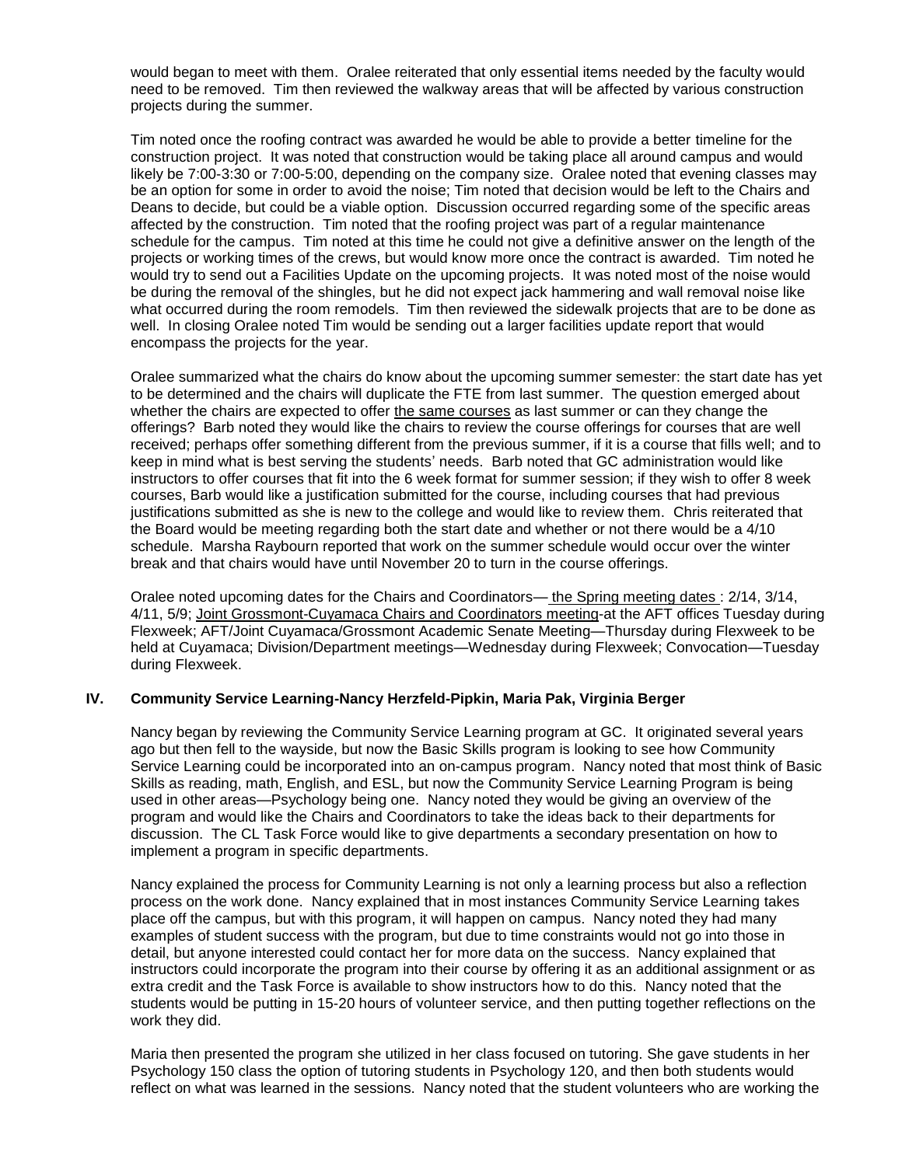would began to meet with them. Oralee reiterated that only essential items needed by the faculty would need to be removed. Tim then reviewed the walkway areas that will be affected by various construction projects during the summer.

Tim noted once the roofing contract was awarded he would be able to provide a better timeline for the construction project. It was noted that construction would be taking place all around campus and would likely be 7:00-3:30 or 7:00-5:00, depending on the company size. Oralee noted that evening classes may be an option for some in order to avoid the noise; Tim noted that decision would be left to the Chairs and Deans to decide, but could be a viable option. Discussion occurred regarding some of the specific areas affected by the construction. Tim noted that the roofing project was part of a regular maintenance schedule for the campus. Tim noted at this time he could not give a definitive answer on the length of the projects or working times of the crews, but would know more once the contract is awarded. Tim noted he would try to send out a Facilities Update on the upcoming projects. It was noted most of the noise would be during the removal of the shingles, but he did not expect jack hammering and wall removal noise like what occurred during the room remodels. Tim then reviewed the sidewalk projects that are to be done as well. In closing Oralee noted Tim would be sending out a larger facilities update report that would encompass the projects for the year.

Oralee summarized what the chairs do know about the upcoming summer semester: the start date has yet to be determined and the chairs will duplicate the FTE from last summer. The question emerged about whether the chairs are expected to offer the same courses as last summer or can they change the offerings? Barb noted they would like the chairs to review the course offerings for courses that are well received; perhaps offer something different from the previous summer, if it is a course that fills well; and to keep in mind what is best serving the students' needs. Barb noted that GC administration would like instructors to offer courses that fit into the 6 week format for summer session; if they wish to offer 8 week courses, Barb would like a justification submitted for the course, including courses that had previous justifications submitted as she is new to the college and would like to review them. Chris reiterated that the Board would be meeting regarding both the start date and whether or not there would be a 4/10 schedule. Marsha Raybourn reported that work on the summer schedule would occur over the winter break and that chairs would have until November 20 to turn in the course offerings.

Oralee noted upcoming dates for the Chairs and Coordinators— the Spring meeting dates : 2/14, 3/14, 4/11, 5/9; Joint Grossmont-Cuyamaca Chairs and Coordinators meeting-at the AFT offices Tuesday during Flexweek; AFT/Joint Cuyamaca/Grossmont Academic Senate Meeting—Thursday during Flexweek to be held at Cuyamaca; Division/Department meetings—Wednesday during Flexweek; Convocation—Tuesday during Flexweek.

## **IV. Community Service Learning-Nancy Herzfeld-Pipkin, Maria Pak, Virginia Berger**

Nancy began by reviewing the Community Service Learning program at GC. It originated several years ago but then fell to the wayside, but now the Basic Skills program is looking to see how Community Service Learning could be incorporated into an on-campus program. Nancy noted that most think of Basic Skills as reading, math, English, and ESL, but now the Community Service Learning Program is being used in other areas—Psychology being one. Nancy noted they would be giving an overview of the program and would like the Chairs and Coordinators to take the ideas back to their departments for discussion. The CL Task Force would like to give departments a secondary presentation on how to implement a program in specific departments.

Nancy explained the process for Community Learning is not only a learning process but also a reflection process on the work done. Nancy explained that in most instances Community Service Learning takes place off the campus, but with this program, it will happen on campus. Nancy noted they had many examples of student success with the program, but due to time constraints would not go into those in detail, but anyone interested could contact her for more data on the success. Nancy explained that instructors could incorporate the program into their course by offering it as an additional assignment or as extra credit and the Task Force is available to show instructors how to do this. Nancy noted that the students would be putting in 15-20 hours of volunteer service, and then putting together reflections on the work they did.

Maria then presented the program she utilized in her class focused on tutoring. She gave students in her Psychology 150 class the option of tutoring students in Psychology 120, and then both students would reflect on what was learned in the sessions. Nancy noted that the student volunteers who are working the